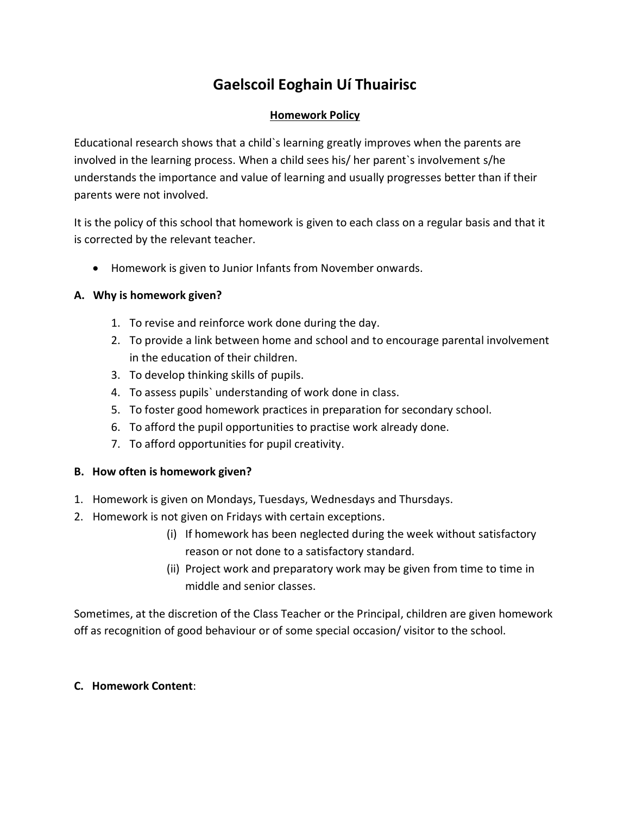# **Gaelscoil Eoghain Uí Thuairisc**

## **Homework Policy**

Educational research shows that a child`s learning greatly improves when the parents are involved in the learning process. When a child sees his/ her parent`s involvement s/he understands the importance and value of learning and usually progresses better than if their parents were not involved.

It is the policy of this school that homework is given to each class on a regular basis and that it is corrected by the relevant teacher.

• Homework is given to Junior Infants from November onwards.

# **A. Why is homework given?**

- 1. To revise and reinforce work done during the day.
- 2. To provide a link between home and school and to encourage parental involvement in the education of their children.
- 3. To develop thinking skills of pupils.
- 4. To assess pupils` understanding of work done in class.
- 5. To foster good homework practices in preparation for secondary school.
- 6. To afford the pupil opportunities to practise work already done.
- 7. To afford opportunities for pupil creativity.

## **B. How often is homework given?**

- 1. Homework is given on Mondays, Tuesdays, Wednesdays and Thursdays.
- 2. Homework is not given on Fridays with certain exceptions.
	- (i) If homework has been neglected during the week without satisfactory reason or not done to a satisfactory standard.
	- (ii) Project work and preparatory work may be given from time to time in middle and senior classes.

Sometimes, at the discretion of the Class Teacher or the Principal, children are given homework off as recognition of good behaviour or of some special occasion/ visitor to the school.

## **C. Homework Content**: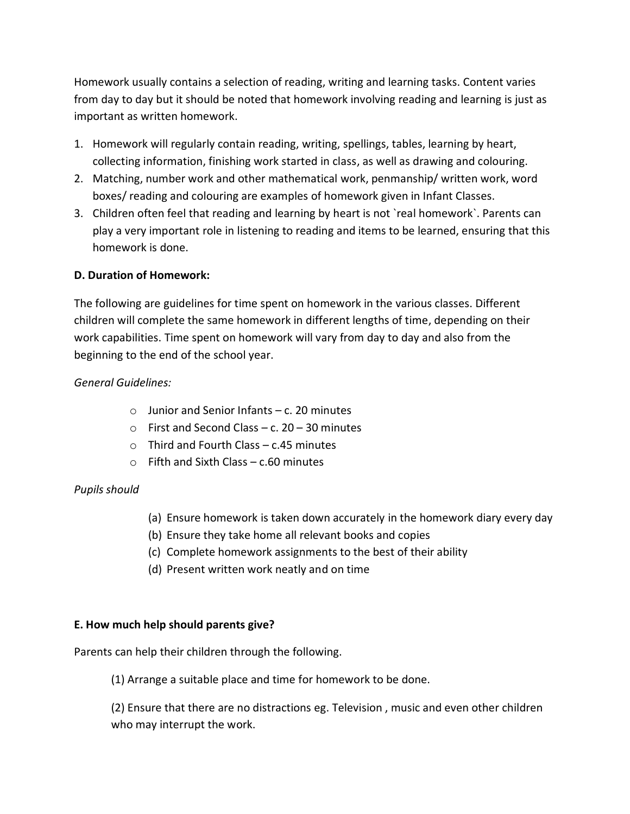Homework usually contains a selection of reading, writing and learning tasks. Content varies from day to day but it should be noted that homework involving reading and learning is just as important as written homework.

- 1. Homework will regularly contain reading, writing, spellings, tables, learning by heart, collecting information, finishing work started in class, as well as drawing and colouring.
- 2. Matching, number work and other mathematical work, penmanship/ written work, word boxes/ reading and colouring are examples of homework given in Infant Classes.
- 3. Children often feel that reading and learning by heart is not `real homework`. Parents can play a very important role in listening to reading and items to be learned, ensuring that this homework is done.

## **D. Duration of Homework:**

The following are guidelines for time spent on homework in the various classes. Different children will complete the same homework in different lengths of time, depending on their work capabilities. Time spent on homework will vary from day to day and also from the beginning to the end of the school year.

## *General Guidelines:*

- $\circ$  Junior and Senior Infants c. 20 minutes
- $\circ$  First and Second Class c. 20 30 minutes
- $\circ$  Third and Fourth Class c.45 minutes
- $\circ$  Fifth and Sixth Class c.60 minutes

#### *Pupils should*

- (a) Ensure homework is taken down accurately in the homework diary every day
- (b) Ensure they take home all relevant books and copies
- (c) Complete homework assignments to the best of their ability
- (d) Present written work neatly and on time

#### **E. How much help should parents give?**

Parents can help their children through the following.

(1) Arrange a suitable place and time for homework to be done.

(2) Ensure that there are no distractions eg. Television , music and even other children who may interrupt the work.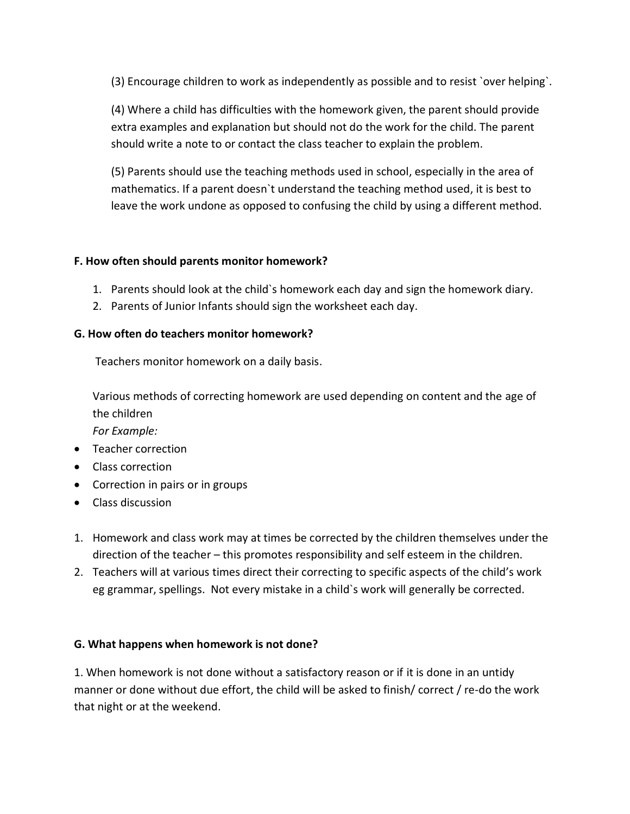(3) Encourage children to work as independently as possible and to resist `over helping`.

(4) Where a child has difficulties with the homework given, the parent should provide extra examples and explanation but should not do the work for the child. The parent should write a note to or contact the class teacher to explain the problem.

(5) Parents should use the teaching methods used in school, especially in the area of mathematics. If a parent doesn`t understand the teaching method used, it is best to leave the work undone as opposed to confusing the child by using a different method.

## **F. How often should parents monitor homework?**

- 1. Parents should look at the child`s homework each day and sign the homework diary.
- 2. Parents of Junior Infants should sign the worksheet each day.

## **G. How often do teachers monitor homework?**

Teachers monitor homework on a daily basis.

Various methods of correcting homework are used depending on content and the age of the children

*For Example:*

- **•** Teacher correction
- Class correction
- Correction in pairs or in groups
- Class discussion
- 1. Homework and class work may at times be corrected by the children themselves under the direction of the teacher – this promotes responsibility and self esteem in the children.
- 2. Teachers will at various times direct their correcting to specific aspects of the child's work eg grammar, spellings. Not every mistake in a child`s work will generally be corrected.

## **G. What happens when homework is not done?**

1. When homework is not done without a satisfactory reason or if it is done in an untidy manner or done without due effort, the child will be asked to finish/ correct / re-do the work that night or at the weekend.